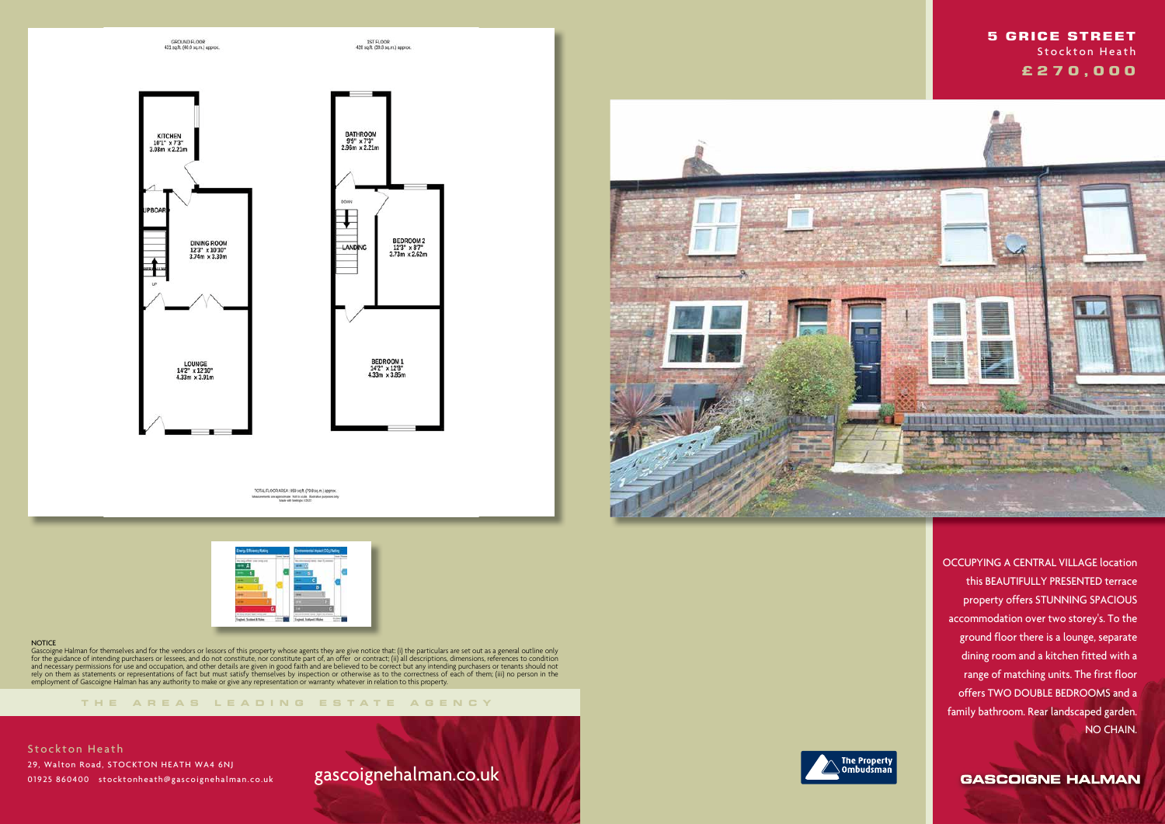







### **NOTICE**

**THE AREA S LEADING ES T A TE A G E N C Y**

Gascoigne Halman for themselves and for the vendors or lessors of this property whose agents they are give notice that: (i) the particulars are set out as a general outline only for the guidance of intending purchasers or lessees, and do not constitute, nor constitute part of, an offer or contract; (ii) all descriptions, dimensions, references to condition and necessary permissions for use and occupation, and other details are given in good faith and are believed to be correct but any intending purchasers or tenants should not rely on them as statements or representations of fact but must satisfy themselves by inspection or otherwise as to the correctness of each of them; (iii) no person in the employment of Gascoigne Halman has any authority to make or give any representation or warranty whatever in relation to this property.

# gascoignehalman.co.uk





 OCCUPYING A CENTRAL VILLAGE location this BEAUTIFULLY PRESENTED terrace property offers STUNNING SPACIOUS accommodation over two storey's. To the ground floor there is a lounge, separate dining room and a kitchen fitted with a range of matching units. The first floor offers TWO DOUBLE BEDROOMS and a family bathroom. Rear landscaped garden. NO CHAIN.

**GASCOIGNE HALMAN** 



### **5 GRICE STREET**  Stockton Heath  **£ 2 7 0 , 0 0 0**